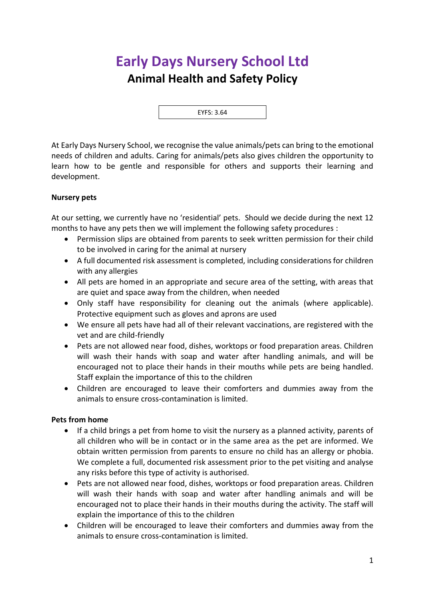# **Early Days Nursery School Ltd Animal Health and Safety Policy**

EYFS: 3.64

At Early Days Nursery School, we recognise the value animals/pets can bring to the emotional needs of children and adults. Caring for animals/pets also gives children the opportunity to learn how to be gentle and responsible for others and supports their learning and development.

## **Nursery pets**

At our setting, we currently have no 'residential' pets. Should we decide during the next 12 months to have any pets then we will implement the following safety procedures :

- Permission slips are obtained from parents to seek written permission for their child to be involved in caring for the animal at nursery
- A full documented risk assessment is completed, including considerations for children with any allergies
- All pets are homed in an appropriate and secure area of the setting, with areas that are quiet and space away from the children, when needed
- Only staff have responsibility for cleaning out the animals (where applicable). Protective equipment such as gloves and aprons are used
- We ensure all pets have had all of their relevant vaccinations, are registered with the vet and are child-friendly
- Pets are not allowed near food, dishes, worktops or food preparation areas. Children will wash their hands with soap and water after handling animals, and will be encouraged not to place their hands in their mouths while pets are being handled. Staff explain the importance of this to the children
- Children are encouraged to leave their comforters and dummies away from the animals to ensure cross-contamination is limited.

## **Pets from home**

- If a child brings a pet from home to visit the nursery as a planned activity, parents of all children who will be in contact or in the same area as the pet are informed. We obtain written permission from parents to ensure no child has an allergy or phobia. We complete a full, documented risk assessment prior to the pet visiting and analyse any risks before this type of activity is authorised.
- Pets are not allowed near food, dishes, worktops or food preparation areas. Children will wash their hands with soap and water after handling animals and will be encouraged not to place their hands in their mouths during the activity. The staff will explain the importance of this to the children
- Children will be encouraged to leave their comforters and dummies away from the animals to ensure cross-contamination is limited.